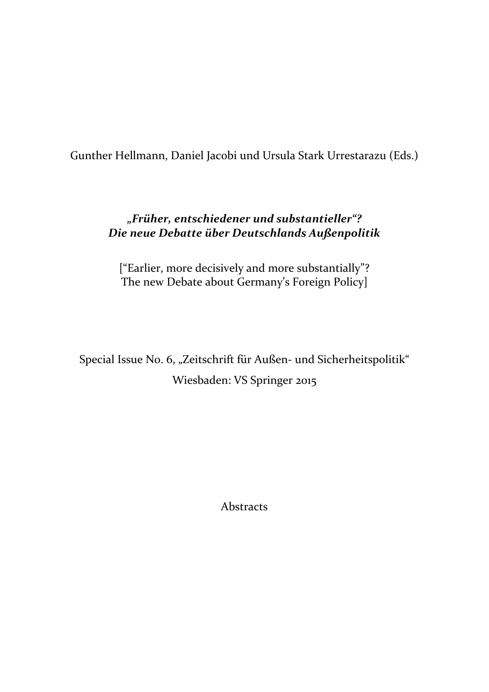Gunther Hellmann, Daniel Jacobi und Ursula Stark Urrestarazu (Eds.)

# *"Früher, entschiedener und substantieller"? Die neue Debatte über Deutschlands Außenpolitik*

["Earlier, more decisively and more substantially"? The new Debate about Germany's Foreign Policy]

Special Issue No. 6, "Zeitschrift für Außen- und Sicherheitspolitik" Wiesbaden: VS Springer 2015

Abstracts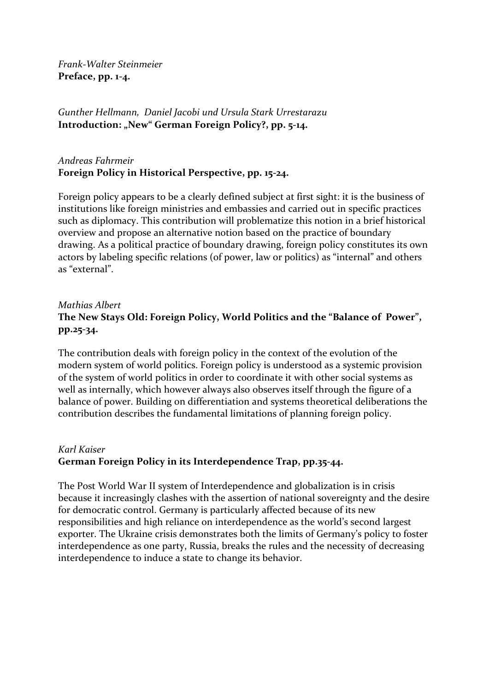*Frank-Walter Steinmeier* **Preface, pp. 1-4.**

*Gunther Hellmann, Daniel Jacobi und Ursula Stark Urrestarazu* Introduction: "New" German Foreign Policy?, pp. 5-14.

# *Andreas Fahrmeir* **Foreign Policy in Historical Perspective, pp. 15-24.**

Foreign policy appears to be a clearly defined subject at first sight: it is the business of institutions like foreign ministries and embassies and carried out in specific practices such as diplomacy. This contribution will problematize this notion in a brief historical overview and propose an alternative notion based on the practice of boundary drawing. As a political practice of boundary drawing, foreign policy constitutes its own actors by labeling specific relations (of power, law or politics) as "internal" and others as "external".

# *Mathias Albert* **The New Stays Old: Foreign Policy, World Politics and the "Balance of Power", pp.25-34.**

The contribution deals with foreign policy in the context of the evolution of the modern system of world politics. Foreign policy is understood as a systemic provision of the system of world politics in order to coordinate it with other social systems as well as internally, which however always also observes itself through the figure of a balance of power. Building on differentiation and systems theoretical deliberations the contribution describes the fundamental limitations of planning foreign policy.

# *Karl Kaiser* **German Foreign Policy in its Interdependence Trap, pp.35-44.**

The Post World War II system of Interdependence and globalization is in crisis because it increasingly clashes with the assertion of national sovereignty and the desire for democratic control. Germany is particularly affected because of its new responsibilities and high reliance on interdependence as the world's second largest exporter. The Ukraine crisis demonstrates both the limits of Germany's policy to foster interdependence as one party, Russia, breaks the rules and the necessity of decreasing interdependence to induce a state to change its behavior.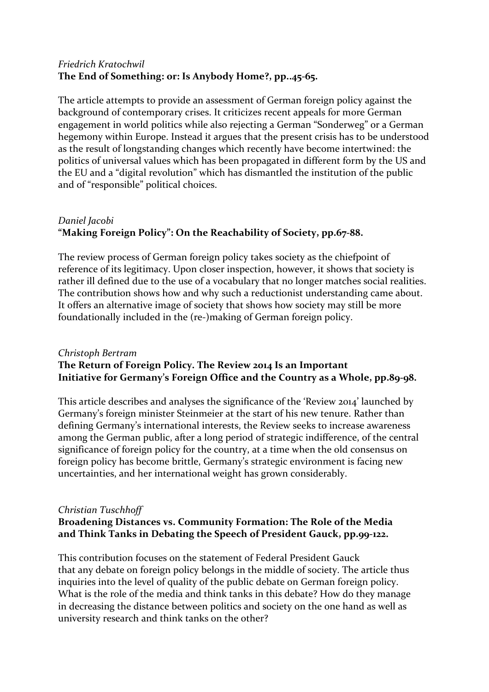#### *Friedrich Kratochwil* **The End of Something: or: Is Anybody Home?, pp..45-65.**

The article attempts to provide an assessment of German foreign policy against the background of contemporary crises. It criticizes recent appeals for more German engagement in world politics while also rejecting a German "Sonderweg" or a German hegemony within Europe. Instead it argues that the present crisis has to be understood as the result of longstanding changes which recently have become intertwined: the politics of universal values which has been propagated in different form by the US and the EU and a "digital revolution" which has dismantled the institution of the public and of "responsible" political choices.

# *Daniel Jacobi* **"Making Foreign Policy": On the Reachability of Society, pp.67-88.**

The review process of German foreign policy takes society as the chiefpoint of reference of its legitimacy. Upon closer inspection, however, it shows that society is rather ill defined due to the use of a vocabulary that no longer matches social realities. The contribution shows how and why such a reductionist understanding came about. It offers an alternative image of society that shows how society may still be more foundationally included in the (re-)making of German foreign policy.

### *Christoph Bertram* **The Return of Foreign Policy. The Review 2014 Is an Important Initiative for Germany's Foreign Office and the Country as a Whole, pp.89-98.**

This article describes and analyses the significance of the 'Review 2014' launched by Germany's foreign minister Steinmeier at the start of his new tenure. Rather than defining Germany's international interests, the Review seeks to increase awareness among the German public, after a long period of strategic indifference, of the central significance of foreign policy for the country, at a time when the old consensus on foreign policy has become brittle, Germany's strategic environment is facing new uncertainties, and her international weight has grown considerably.

### *Christian Tuschhoff*

# **Broadening Distances vs. Community Formation: The Role of the Media and Think Tanks in Debating the Speech of President Gauck, pp.99-122.**

This contribution focuses on the statement of Federal President Gauck that any debate on foreign policy belongs in the middle of society. The article thus inquiries into the level of quality of the public debate on German foreign policy. What is the role of the media and think tanks in this debate? How do they manage in decreasing the distance between politics and society on the one hand as well as university research and think tanks on the other?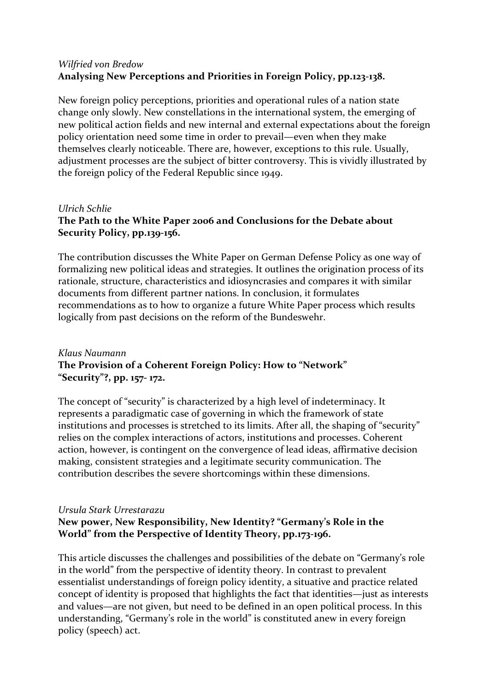#### *Wilfried von Bredow* **Analysing New Perceptions and Priorities in Foreign Policy, pp.123-138.**

New foreign policy perceptions, priorities and operational rules of a nation state change only slowly. New constellations in the international system, the emerging of new political action fields and new internal and external expectations about the foreign policy orientation need some time in order to prevail—even when they make themselves clearly noticeable. There are, however, exceptions to this rule. Usually, adjustment processes are the subject of bitter controversy. This is vividly illustrated by the foreign policy of the Federal Republic since 1949.

#### *Ulrich Schlie*

# **The Path to the White Paper 2006 and Conclusions for the Debate about Security Policy, pp.139-156.**

The contribution discusses the White Paper on German Defense Policy as one way of formalizing new political ideas and strategies. It outlines the origination process of its rationale, structure, characteristics and idiosyncrasies and compares it with similar documents from different partner nations. In conclusion, it formulates recommendations as to how to organize a future White Paper process which results logically from past decisions on the reform of the Bundeswehr.

### *Klaus Naumann* **The Provision of a Coherent Foreign Policy: How to "Network" "Security"?, pp. 157- 172.**

The concept of "security" is characterized by a high level of indeterminacy. It represents a paradigmatic case of governing in which the framework of state institutions and processes is stretched to its limits. After all, the shaping of "security" relies on the complex interactions of actors, institutions and processes. Coherent action, however, is contingent on the convergence of lead ideas, affirmative decision making, consistent strategies and a legitimate security communication. The contribution describes the severe shortcomings within these dimensions.

#### *Ursula Stark Urrestarazu*

# **New power, New Responsibility, New Identity? "Germany's Role in the World" from the Perspective of Identity Theory, pp.173-196.**

This article discusses the challenges and possibilities of the debate on "Germany's role in the world" from the perspective of identity theory. In contrast to prevalent essentialist understandings of foreign policy identity, a situative and practice related concept of identity is proposed that highlights the fact that identities—just as interests and values—are not given, but need to be defined in an open political process. In this understanding, "Germany's role in the world" is constituted anew in every foreign policy (speech) act.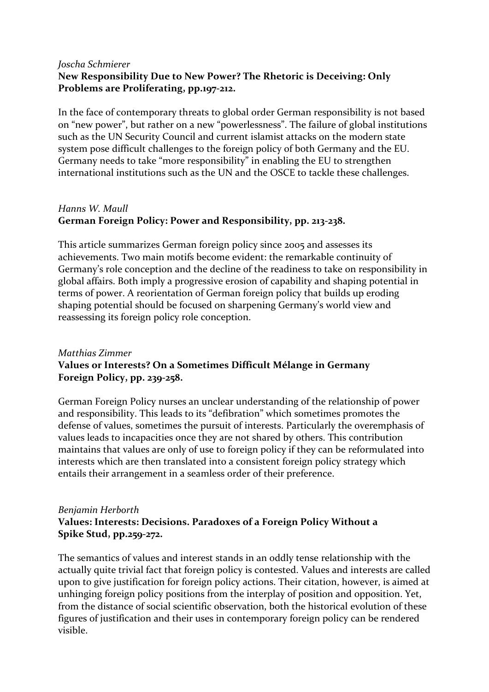#### *Joscha Schmierer* **New Responsibility Due to New Power? The Rhetoric is Deceiving: Only Problems are Proliferating, pp.197-212.**

In the face of contemporary threats to global order German responsibility is not based on "new power", but rather on a new "powerlessness". The failure of global institutions such as the UN Security Council and current islamist attacks on the modern state system pose difficult challenges to the foreign policy of both Germany and the EU. Germany needs to take "more responsibility" in enabling the EU to strengthen international institutions such as the UN and the OSCE to tackle these challenges.

# *Hanns W. Maull* **German Foreign Policy: Power and Responsibility, pp. 213-238.**

This article summarizes German foreign policy since 2005 and assesses its achievements. Two main motifs become evident: the remarkable continuity of Germany's role conception and the decline of the readiness to take on responsibility in global affairs. Both imply a progressive erosion of capability and shaping potential in terms of power. A reorientation of German foreign policy that builds up eroding shaping potential should be focused on sharpening Germany's world view and reassessing its foreign policy role conception.

# *Matthias Zimmer* **Values or Interests? On a Sometimes Difficult Mélange in Germany Foreign Policy, pp. 239-258.**

German Foreign Policy nurses an unclear understanding of the relationship of power and responsibility. This leads to its "defibration" which sometimes promotes the defense of values, sometimes the pursuit of interests. Particularly the overemphasis of values leads to incapacities once they are not shared by others. This contribution maintains that values are only of use to foreign policy if they can be reformulated into interests which are then translated into a consistent foreign policy strategy which entails their arrangement in a seamless order of their preference.

#### *Benjamin Herborth* **Values: Interests: Decisions. Paradoxes of a Foreign Policy Without a Spike Stud, pp.259-272.**

The semantics of values and interest stands in an oddly tense relationship with the actually quite trivial fact that foreign policy is contested. Values and interests are called upon to give justification for foreign policy actions. Their citation, however, is aimed at unhinging foreign policy positions from the interplay of position and opposition. Yet, from the distance of social scientific observation, both the historical evolution of these figures of justification and their uses in contemporary foreign policy can be rendered visible.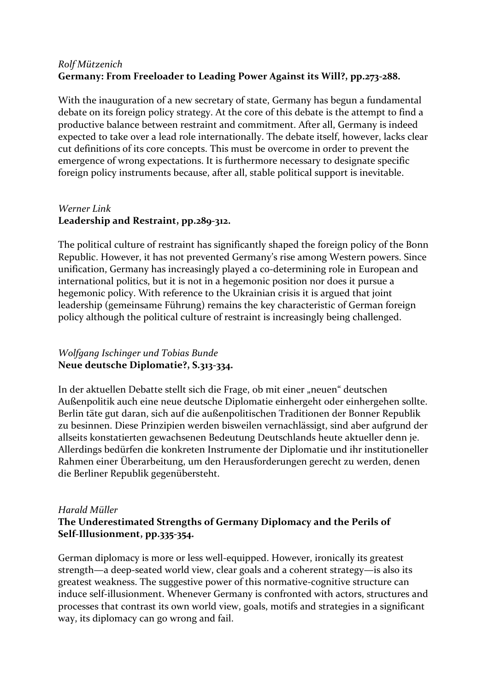### *Rolf Mützenich* **Germany: From Freeloader to Leading Power Against its Will?, pp.273-288.**

With the inauguration of a new secretary of state, Germany has begun a fundamental debate on its foreign policy strategy. At the core of this debate is the attempt to find a productive balance between restraint and commitment. After all, Germany is indeed expected to take over a lead role internationally. The debate itself, however, lacks clear cut definitions of its core concepts. This must be overcome in order to prevent the emergence of wrong expectations. It is furthermore necessary to designate specific foreign policy instruments because, after all, stable political support is inevitable.

# *Werner Link* **Leadership and Restraint, pp.289-312.**

The political culture of restraint has significantly shaped the foreign policy of the Bonn Republic. However, it has not prevented Germany's rise among Western powers. Since unification, Germany has increasingly played a co-determining role in European and international politics, but it is not in a hegemonic position nor does it pursue a hegemonic policy. With reference to the Ukrainian crisis it is argued that joint leadership (gemeinsame Führung) remains the key characteristic of German foreign policy although the political culture of restraint is increasingly being challenged.

### *Wolfgang Ischinger und Tobias Bunde* **Neue deutsche Diplomatie?, S.313-334.**

In der aktuellen Debatte stellt sich die Frage, ob mit einer "neuen" deutschen Außenpolitik auch eine neue deutsche Diplomatie einhergeht oder einhergehen sollte. Berlin täte gut daran, sich auf die außenpolitischen Traditionen der Bonner Republik zu besinnen. Diese Prinzipien werden bisweilen vernachlässigt, sind aber aufgrund der allseits konstatierten gewachsenen Bedeutung Deutschlands heute aktueller denn je. Allerdings bedürfen die konkreten Instrumente der Diplomatie und ihr institutioneller Rahmen einer Überarbeitung, um den Herausforderungen gerecht zu werden, denen die Berliner Republik gegenübersteht.

#### *Harald Müller* **The Underestimated Strengths of Germany Diplomacy and the Perils of Self-Illusionment, pp.335-354.**

German diplomacy is more or less well-equipped. However, ironically its greatest strength—a deep-seated world view, clear goals and a coherent strategy—is also its greatest weakness. The suggestive power of this normative-cognitive structure can induce self-illusionment. Whenever Germany is confronted with actors, structures and processes that contrast its own world view, goals, motifs and strategies in a significant way, its diplomacy can go wrong and fail.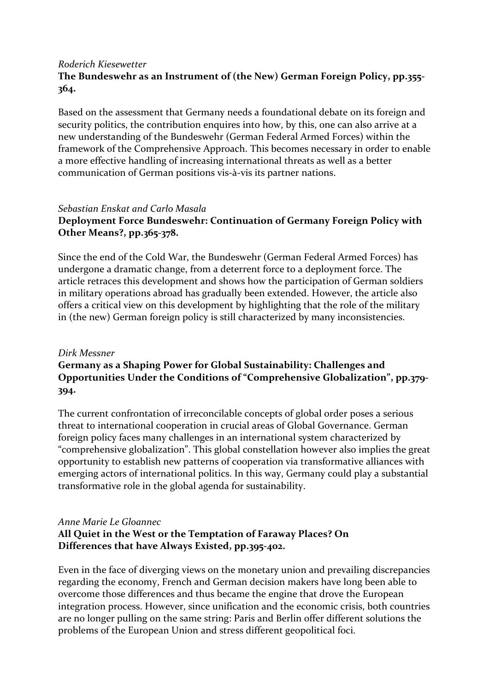#### *Roderich Kiesewetter* **The Bundeswehr as an Instrument of (the New) German Foreign Policy, pp.355- 364.**

Based on the assessment that Germany needs a foundational debate on its foreign and security politics, the contribution enquires into how, by this, one can also arrive at a new understanding of the Bundeswehr (German Federal Armed Forces) within the framework of the Comprehensive Approach. This becomes necessary in order to enable a more effective handling of increasing international threats as well as a better communication of German positions vis-à-vis its partner nations.

#### *Sebastian Enskat and Carlo Masala*

### **Deployment Force Bundeswehr: Continuation of Germany Foreign Policy with Other Means?, pp.365-378.**

Since the end of the Cold War, the Bundeswehr (German Federal Armed Forces) has undergone a dramatic change, from a deterrent force to a deployment force. The article retraces this development and shows how the participation of German soldiers in military operations abroad has gradually been extended. However, the article also offers a critical view on this development by highlighting that the role of the military in (the new) German foreign policy is still characterized by many inconsistencies.

#### *Dirk Messner*

# **Germany as a Shaping Power for Global Sustainability: Challenges and Opportunities Under the Conditions of "Comprehensive Globalization", pp.379- 394.**

The current confrontation of irreconcilable concepts of global order poses a serious threat to international cooperation in crucial areas of Global Governance. German foreign policy faces many challenges in an international system characterized by "comprehensive globalization". This global constellation however also implies the great opportunity to establish new patterns of cooperation via transformative alliances with emerging actors of international politics. In this way, Germany could play a substantial transformative role in the global agenda for sustainability.

#### *Anne Marie Le Gloannec*

### **All Quiet in the West or the Temptation of Faraway Places? On Differences that have Always Existed, pp.395-402.**

Even in the face of diverging views on the monetary union and prevailing discrepancies regarding the economy, French and German decision makers have long been able to overcome those differences and thus became the engine that drove the European integration process. However, since unification and the economic crisis, both countries are no longer pulling on the same string: Paris and Berlin offer different solutions the problems of the European Union and stress different geopolitical foci.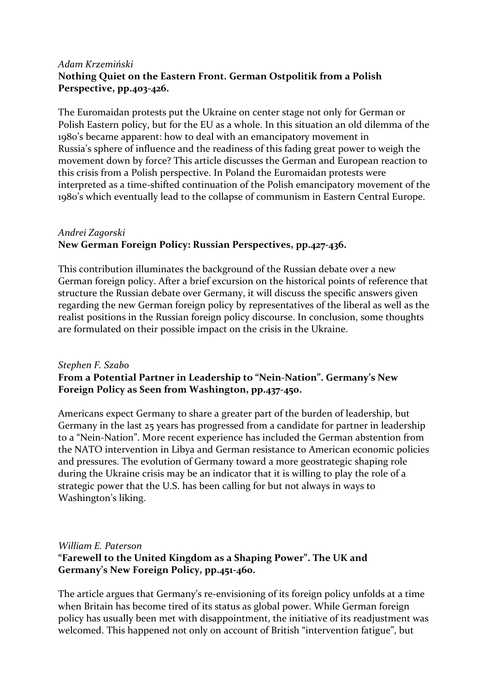### *Adam Krzemiński* **Nothing Quiet on the Eastern Front. German Ostpolitik from a Polish Perspective, pp.403-426.**

The Euromaidan protests put the Ukraine on center stage not only for German or Polish Eastern policy, but for the EU as a whole. In this situation an old dilemma of the 1980's became apparent: how to deal with an emancipatory movement in Russia's sphere of influence and the readiness of this fading great power to weigh the movement down by force? This article discusses the German and European reaction to this crisis from a Polish perspective. In Poland the Euromaidan protests were interpreted as a time-shifted continuation of the Polish emancipatory movement of the 1980's which eventually lead to the collapse of communism in Eastern Central Europe.

# *Andrei Zagorski* **New German Foreign Policy: Russian Perspectives, pp.427-436.**

This contribution illuminates the background of the Russian debate over a new German foreign policy. After a brief excursion on the historical points of reference that structure the Russian debate over Germany, it will discuss the specific answers given regarding the new German foreign policy by representatives of the liberal as well as the realist positions in the Russian foreign policy discourse. In conclusion, some thoughts are formulated on their possible impact on the crisis in the Ukraine.

### *Stephen F. Szabo* **From a Potential Partner in Leadership to "Nein-Nation". Germany's New Foreign Policy as Seen from Washington, pp.437-450.**

Americans expect Germany to share a greater part of the burden of leadership, but Germany in the last 25 years has progressed from a candidate for partner in leadership to a "Nein-Nation". More recent experience has included the German abstention from the NATO intervention in Libya and German resistance to American economic policies and pressures. The evolution of Germany toward a more geostrategic shaping role during the Ukraine crisis may be an indicator that it is willing to play the role of a strategic power that the U.S. has been calling for but not always in ways to Washington's liking.

#### *William E. Paterson* **"Farewell to the United Kingdom as a Shaping Power". The UK and Germany's New Foreign Policy, pp.451-460.**

The article argues that Germany's re-envisioning of its foreign policy unfolds at a time when Britain has become tired of its status as global power. While German foreign policy has usually been met with disappointment, the initiative of its readjustment was welcomed. This happened not only on account of British "intervention fatigue", but